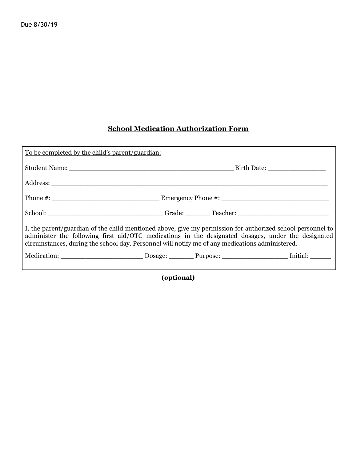## **School Medication Authorization Form**

| To be completed by the child's parent/guardian:                                                                                                                                                                                                                                                                     |  |  |  |  |
|---------------------------------------------------------------------------------------------------------------------------------------------------------------------------------------------------------------------------------------------------------------------------------------------------------------------|--|--|--|--|
|                                                                                                                                                                                                                                                                                                                     |  |  |  |  |
|                                                                                                                                                                                                                                                                                                                     |  |  |  |  |
|                                                                                                                                                                                                                                                                                                                     |  |  |  |  |
| School: Campaign Cracker: Campaign Cracker: Campaign Cracker: Campaign Cracker: Campaign Cracker: Campaign Cracker: Campaign Cracker: Campaign Cracker: Campaign Cracker: Campaign Cracker: Campaign Cracker: Campaign Cracker                                                                                      |  |  |  |  |
| I, the parent/guardian of the child mentioned above, give my permission for authorized school personnel to<br>administer the following first aid/OTC medications in the designated dosages, under the designated<br>circumstances, during the school day. Personnel will notify me of any medications administered. |  |  |  |  |
|                                                                                                                                                                                                                                                                                                                     |  |  |  |  |
|                                                                                                                                                                                                                                                                                                                     |  |  |  |  |

**(optional)**